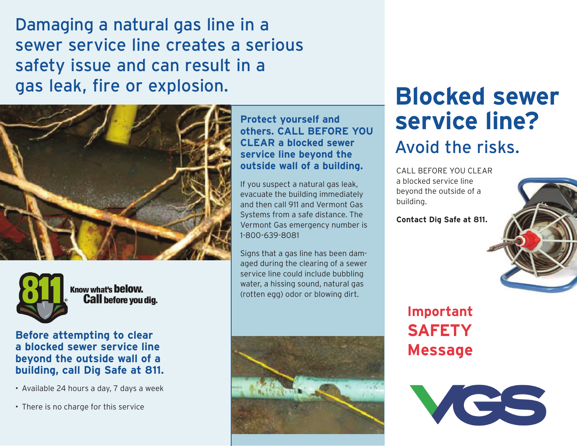Damaging a natural gas line in a sewer service line creates a serious safety issue and can result in a gas leak, fire or explosion.





Know what's below. **Call before you dig.** 

### **Before attempting to clear a blocked sewer service line beyond the outside wall of a building, call Dig Safe at 811.**

• Available 24 hours a day, 7 days a week

• There is no charge for this service

#### **Protect yourself and others. CALL BEFORE YOU CLEAR a blocked sewer service line beyond the outside wall of a building.**

If you suspect a natural gas leak, evacuate the building immediately and then call 911 and Vermont Gas Systems from a safe distance. The Vermont Gas emergency number is 1-800-639-8081

Signs that a gas line has been damaged during the clearing of a sewer service line could include bubbling water, a hissing sound, natural gas (rotten egg) odor or blowing dirt.



# **Blocked sewer service line?** Avoid the risks.

CALL BEFORE YOU CLEAR a blocked service line beyond the outside of a building.

**Contact Dig Safe at 811.**



# **Important Safety Message**